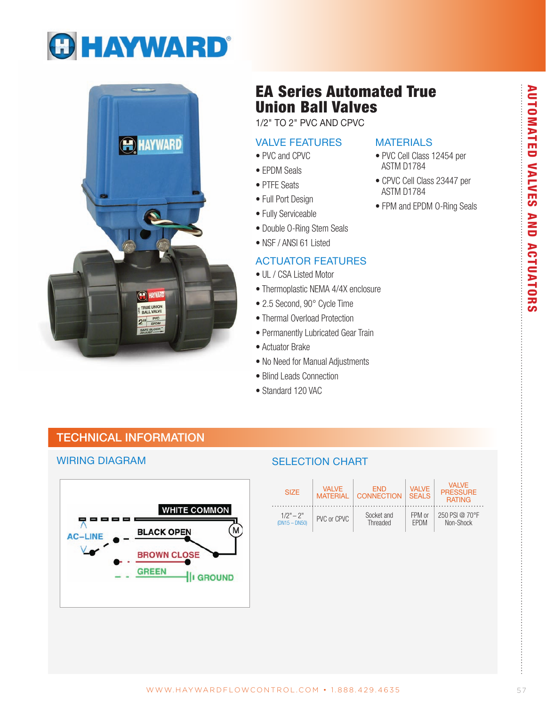



# **EA Series Automated True Union Ball Valves**

1/2" TO 2" PVC AND CPVC

#### **VALVE FEATURES**

• EPDM Seals

• PTFE Seats

• Full Port Design

• Fully Serviceable

#### • PVC and CPVC

## **MATERIALS**

- PVC Cell Class 12454 per ASTM D1784
- CPVC Cell Class 23447 per ASTM D1784
- FPM and EPDM O-Ring Seals
- **ACTUATOR FEATURES** · UL / CSA Listed Motor

• Double O-Ring Stem Seals • NSF / ANSI 61 Listed

- Thermoplastic NEMA 4/4X enclosure
- 2.5 Second, 90° Cycle Time
- Thermal Overload Protection
- Permanently Lubricated Gear Train
- Actuator Brake
- No Need for Manual Adjustments
- Blind Leads Connection
- Standard 120 VAC

## **TECHNICAL INFORMATION**

#### **WIRING DIAGRAM**



### **SELECTION CHART**